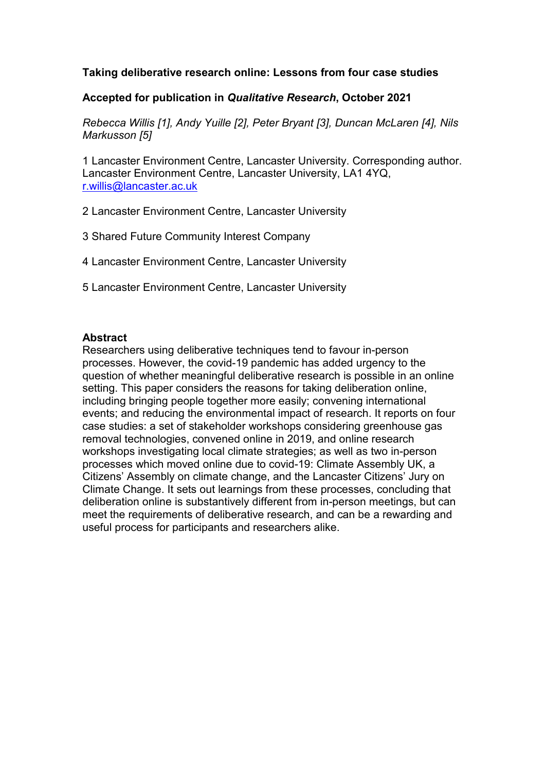# **Taking deliberative research online: Lessons from four case studies**

# **Accepted for publication in** *Qualitative Research***, October 2021**

*Rebecca Willis [1], Andy Yuille [2], Peter Bryant [3], Duncan McLaren [4], Nils Markusson [5]*

1 Lancaster Environment Centre, Lancaster University. Corresponding author. Lancaster Environment Centre, Lancaster University, LA1 4YQ, [r.willis@lancaster.ac.uk](mailto:r.willis@lancaster.ac.uk)

2 Lancaster Environment Centre, Lancaster University

3 Shared Future Community Interest Company

4 Lancaster Environment Centre, Lancaster University

5 Lancaster Environment Centre, Lancaster University

# **Abstract**

Researchers using deliberative techniques tend to favour in-person processes. However, the covid-19 pandemic has added urgency to the question of whether meaningful deliberative research is possible in an online setting. This paper considers the reasons for taking deliberation online, including bringing people together more easily; convening international events; and reducing the environmental impact of research. It reports on four case studies: a set of stakeholder workshops considering greenhouse gas removal technologies, convened online in 2019, and online research workshops investigating local climate strategies; as well as two in-person processes which moved online due to covid-19: Climate Assembly UK, a Citizens' Assembly on climate change, and the Lancaster Citizens' Jury on Climate Change. It sets out learnings from these processes, concluding that deliberation online is substantively different from in-person meetings, but can meet the requirements of deliberative research, and can be a rewarding and useful process for participants and researchers alike.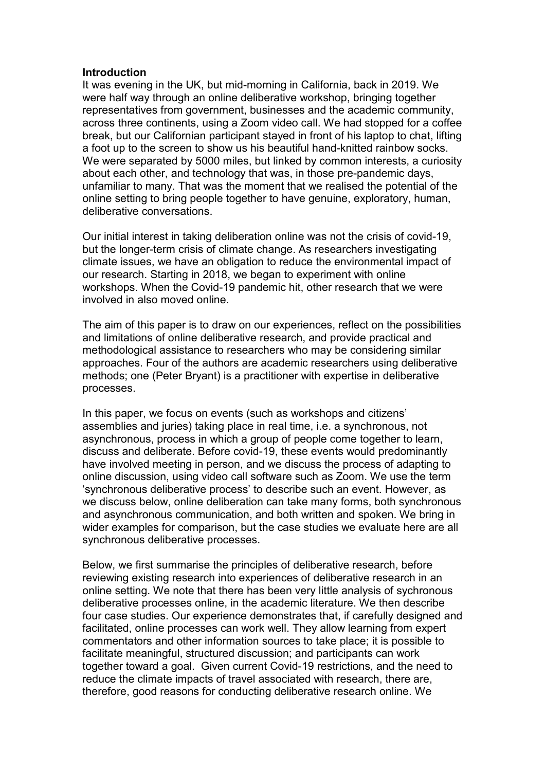#### **Introduction**

It was evening in the UK, but mid-morning in California, back in 2019. We were half way through an online deliberative workshop, bringing together representatives from government, businesses and the academic community, across three continents, using a Zoom video call. We had stopped for a coffee break, but our Californian participant stayed in front of his laptop to chat, lifting a foot up to the screen to show us his beautiful hand-knitted rainbow socks. We were separated by 5000 miles, but linked by common interests, a curiosity about each other, and technology that was, in those pre-pandemic days, unfamiliar to many. That was the moment that we realised the potential of the online setting to bring people together to have genuine, exploratory, human, deliberative conversations.

Our initial interest in taking deliberation online was not the crisis of covid-19, but the longer-term crisis of climate change. As researchers investigating climate issues, we have an obligation to reduce the environmental impact of our research. Starting in 2018, we began to experiment with online workshops. When the Covid-19 pandemic hit, other research that we were involved in also moved online.

The aim of this paper is to draw on our experiences, reflect on the possibilities and limitations of online deliberative research, and provide practical and methodological assistance to researchers who may be considering similar approaches. Four of the authors are academic researchers using deliberative methods; one (Peter Bryant) is a practitioner with expertise in deliberative processes.

In this paper, we focus on events (such as workshops and citizens' assemblies and juries) taking place in real time, i.e. a synchronous, not asynchronous, process in which a group of people come together to learn, discuss and deliberate. Before covid-19, these events would predominantly have involved meeting in person, and we discuss the process of adapting to online discussion, using video call software such as Zoom. We use the term 'synchronous deliberative process' to describe such an event. However, as we discuss below, online deliberation can take many forms, both synchronous and asynchronous communication, and both written and spoken. We bring in wider examples for comparison, but the case studies we evaluate here are all synchronous deliberative processes.

Below, we first summarise the principles of deliberative research, before reviewing existing research into experiences of deliberative research in an online setting. We note that there has been very little analysis of sychronous deliberative processes online, in the academic literature. We then describe four case studies. Our experience demonstrates that, if carefully designed and facilitated, online processes can work well. They allow learning from expert commentators and other information sources to take place; it is possible to facilitate meaningful, structured discussion; and participants can work together toward a goal. Given current Covid-19 restrictions, and the need to reduce the climate impacts of travel associated with research, there are, therefore, good reasons for conducting deliberative research online. We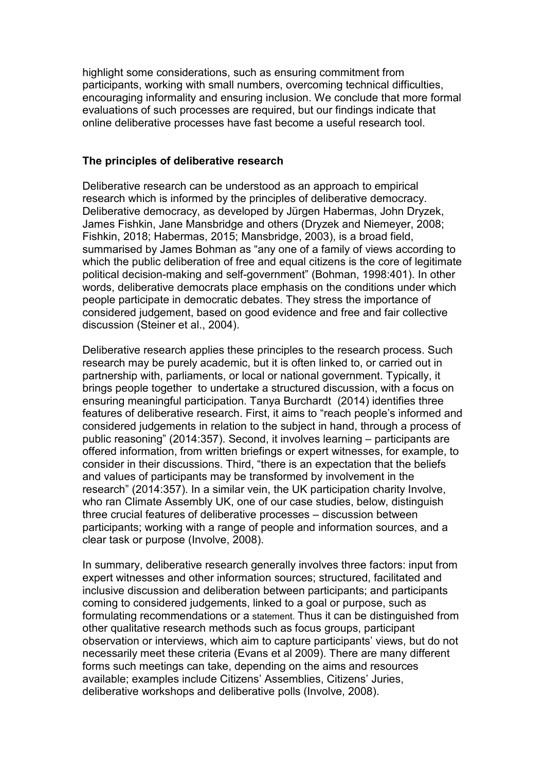highlight some considerations, such as ensuring commitment from participants, working with small numbers, overcoming technical difficulties, encouraging informality and ensuring inclusion. We conclude that more formal evaluations of such processes are required, but our findings indicate that online deliberative processes have fast become a useful research tool.

#### **The principles of deliberative research**

Deliberative research can be understood as an approach to empirical research which is informed by the principles of deliberative democracy. Deliberative democracy, as developed by Jürgen Habermas, John Dryzek, James Fishkin, Jane Mansbridge and others (Dryzek and Niemeyer, 2008; Fishkin, 2018; Habermas, 2015; Mansbridge, 2003), is a broad field, summarised by James Bohman as "any one of a family of views according to which the public deliberation of free and equal citizens is the core of legitimate political decision-making and self-government" (Bohman, 1998:401). In other words, deliberative democrats place emphasis on the conditions under which people participate in democratic debates. They stress the importance of considered judgement, based on good evidence and free and fair collective discussion (Steiner et al., 2004).

Deliberative research applies these principles to the research process. Such research may be purely academic, but it is often linked to, or carried out in partnership with, parliaments, or local or national government. Typically, it brings people together to undertake a structured discussion, with a focus on ensuring meaningful participation. Tanya Burchardt (2014) identifies three features of deliberative research. First, it aims to "reach people's informed and considered judgements in relation to the subject in hand, through a process of public reasoning" (2014:357). Second, it involves learning – participants are offered information, from written briefings or expert witnesses, for example, to consider in their discussions. Third, "there is an expectation that the beliefs and values of participants may be transformed by involvement in the research" (2014:357). In a similar vein, the UK participation charity Involve, who ran Climate Assembly UK, one of our case studies, below, distinguish three crucial features of deliberative processes – discussion between participants; working with a range of people and information sources, and a clear task or purpose (Involve, 2008).

In summary, deliberative research generally involves three factors: input from expert witnesses and other information sources; structured, facilitated and inclusive discussion and deliberation between participants; and participants coming to considered judgements, linked to a goal or purpose, such as formulating recommendations or a statement. Thus it can be distinguished from other qualitative research methods such as focus groups, participant observation or interviews, which aim to capture participants' views, but do not necessarily meet these criteria (Evans et al 2009). There are many different forms such meetings can take, depending on the aims and resources available; examples include Citizens' Assemblies, Citizens' Juries, deliberative workshops and deliberative polls (Involve, 2008).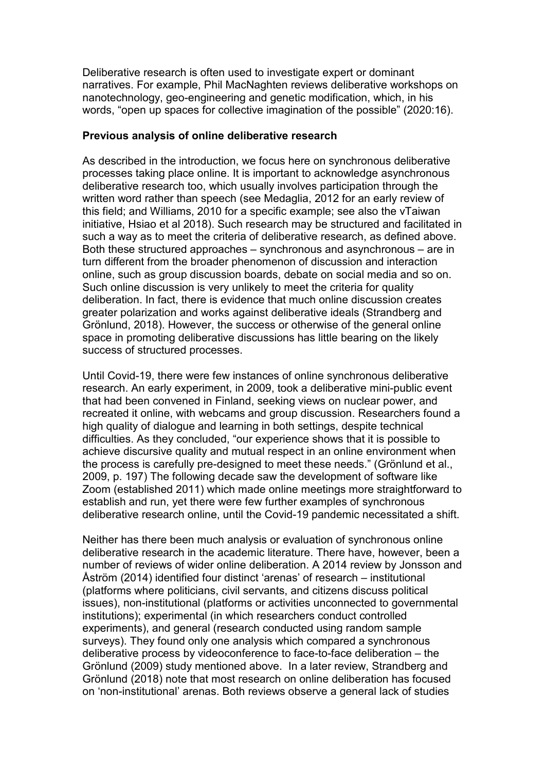Deliberative research is often used to investigate expert or dominant narratives. For example, Phil MacNaghten reviews deliberative workshops on nanotechnology, geo-engineering and genetic modification, which, in his words, "open up spaces for collective imagination of the possible" (2020:16).

### **Previous analysis of online deliberative research**

As described in the introduction, we focus here on synchronous deliberative processes taking place online. It is important to acknowledge asynchronous deliberative research too, which usually involves participation through the written word rather than speech (see Medaglia, 2012 for an early review of this field; and Williams, 2010 for a specific example; see also the vTaiwan initiative, Hsiao et al 2018). Such research may be structured and facilitated in such a way as to meet the criteria of deliberative research, as defined above. Both these structured approaches – synchronous and asynchronous – are in turn different from the broader phenomenon of discussion and interaction online, such as group discussion boards, debate on social media and so on. Such online discussion is very unlikely to meet the criteria for quality deliberation. In fact, there is evidence that much online discussion creates greater polarization and works against deliberative ideals (Strandberg and Grönlund, 2018). However, the success or otherwise of the general online space in promoting deliberative discussions has little bearing on the likely success of structured processes.

Until Covid-19, there were few instances of online synchronous deliberative research. An early experiment, in 2009, took a deliberative mini-public event that had been convened in Finland, seeking views on nuclear power, and recreated it online, with webcams and group discussion. Researchers found a high quality of dialogue and learning in both settings, despite technical difficulties. As they concluded, "our experience shows that it is possible to achieve discursive quality and mutual respect in an online environment when the process is carefully pre-designed to meet these needs." (Grönlund et al., 2009, p. 197) The following decade saw the development of software like Zoom (established 2011) which made online meetings more straightforward to establish and run, yet there were few further examples of synchronous deliberative research online, until the Covid-19 pandemic necessitated a shift.

Neither has there been much analysis or evaluation of synchronous online deliberative research in the academic literature. There have, however, been a number of reviews of wider online deliberation. A 2014 review by Jonsson and Åström (2014) identified four distinct 'arenas' of research – institutional (platforms where politicians, civil servants, and citizens discuss political issues), non-institutional (platforms or activities unconnected to governmental institutions); experimental (in which researchers conduct controlled experiments), and general (research conducted using random sample surveys). They found only one analysis which compared a synchronous deliberative process by videoconference to face-to-face deliberation – the Grönlund (2009) study mentioned above. In a later review, Strandberg and Grönlund (2018) note that most research on online deliberation has focused on 'non-institutional' arenas. Both reviews observe a general lack of studies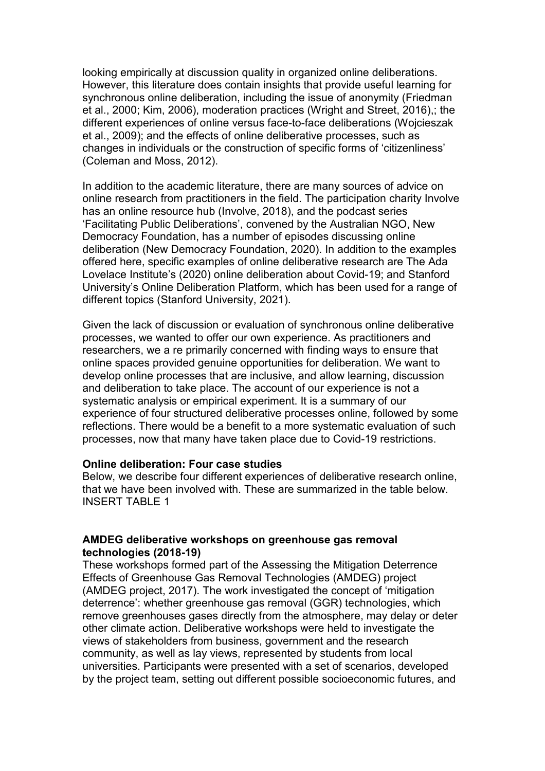looking empirically at discussion quality in organized online deliberations. However, this literature does contain insights that provide useful learning for synchronous online deliberation, including the issue of anonymity (Friedman et al., 2000; Kim, 2006), moderation practices (Wright and Street, 2016),; the different experiences of online versus face-to-face deliberations (Wojcieszak et al., 2009); and the effects of online deliberative processes, such as changes in individuals or the construction of specific forms of 'citizenliness' (Coleman and Moss, 2012).

In addition to the academic literature, there are many sources of advice on online research from practitioners in the field. The participation charity Involve has an online resource hub (Involve, 2018), and the podcast series 'Facilitating Public Deliberations', convened by the Australian NGO, New Democracy Foundation, has a number of episodes discussing online deliberation (New Democracy Foundation, 2020). In addition to the examples offered here, specific examples of online deliberative research are The Ada Lovelace Institute's (2020) online deliberation about Covid-19; and Stanford University's Online Deliberation Platform, which has been used for a range of different topics (Stanford University, 2021).

Given the lack of discussion or evaluation of synchronous online deliberative processes, we wanted to offer our own experience. As practitioners and researchers, we a re primarily concerned with finding ways to ensure that online spaces provided genuine opportunities for deliberation. We want to develop online processes that are inclusive, and allow learning, discussion and deliberation to take place. The account of our experience is not a systematic analysis or empirical experiment. It is a summary of our experience of four structured deliberative processes online, followed by some reflections. There would be a benefit to a more systematic evaluation of such processes, now that many have taken place due to Covid-19 restrictions.

#### **Online deliberation: Four case studies**

Below, we describe four different experiences of deliberative research online, that we have been involved with. These are summarized in the table below. INSERT TABLE 1

### **AMDEG deliberative workshops on greenhouse gas removal technologies (2018-19)**

These workshops formed part of the Assessing the Mitigation Deterrence Effects of Greenhouse Gas Removal Technologies (AMDEG) project (AMDEG project, 2017). The work investigated the concept of 'mitigation deterrence': whether greenhouse gas removal (GGR) technologies, which remove greenhouses gases directly from the atmosphere, may delay or deter other climate action. Deliberative workshops were held to investigate the views of stakeholders from business, government and the research community, as well as lay views, represented by students from local universities. Participants were presented with a set of scenarios, developed by the project team, setting out different possible socioeconomic futures, and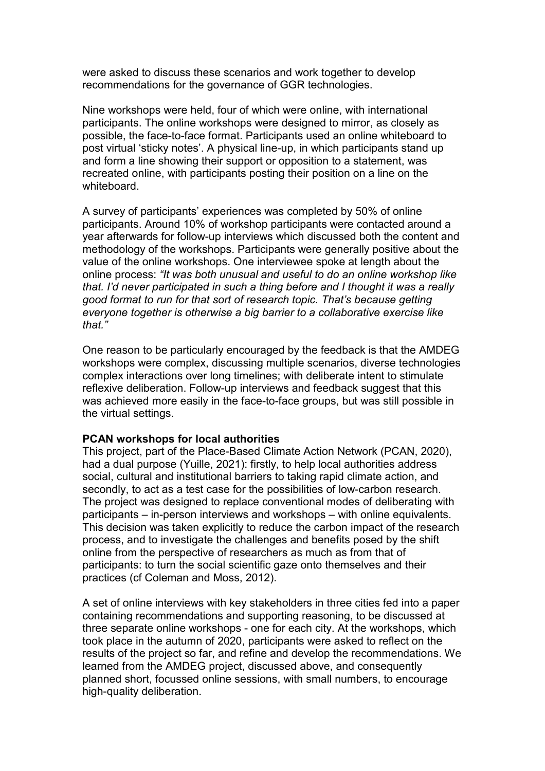were asked to discuss these scenarios and work together to develop recommendations for the governance of GGR technologies.

Nine workshops were held, four of which were online, with international participants. The online workshops were designed to mirror, as closely as possible, the face-to-face format. Participants used an online whiteboard to post virtual 'sticky notes'. A physical line-up, in which participants stand up and form a line showing their support or opposition to a statement, was recreated online, with participants posting their position on a line on the whiteboard.

A survey of participants' experiences was completed by 50% of online participants. Around 10% of workshop participants were contacted around a year afterwards for follow-up interviews which discussed both the content and methodology of the workshops. Participants were generally positive about the value of the online workshops. One interviewee spoke at length about the online process: *"It was both unusual and useful to do an online workshop like that. I'd never participated in such a thing before and I thought it was a really good format to run for that sort of research topic. That's because getting everyone together is otherwise a big barrier to a collaborative exercise like that."*

One reason to be particularly encouraged by the feedback is that the AMDEG workshops were complex, discussing multiple scenarios, diverse technologies complex interactions over long timelines; with deliberate intent to stimulate reflexive deliberation. Follow-up interviews and feedback suggest that this was achieved more easily in the face-to-face groups, but was still possible in the virtual settings.

### **PCAN workshops for local authorities**

This project, part of the Place-Based Climate Action Network (PCAN, 2020), had a dual purpose (Yuille, 2021): firstly, to help local authorities address social, cultural and institutional barriers to taking rapid climate action, and secondly, to act as a test case for the possibilities of low-carbon research. The project was designed to replace conventional modes of deliberating with participants – in-person interviews and workshops – with online equivalents. This decision was taken explicitly to reduce the carbon impact of the research process, and to investigate the challenges and benefits posed by the shift online from the perspective of researchers as much as from that of participants: to turn the social scientific gaze onto themselves and their practices (cf Coleman and Moss, 2012).

A set of online interviews with key stakeholders in three cities fed into a paper containing recommendations and supporting reasoning, to be discussed at three separate online workshops - one for each city. At the workshops, which took place in the autumn of 2020, participants were asked to reflect on the results of the project so far, and refine and develop the recommendations. We learned from the AMDEG project, discussed above, and consequently planned short, focussed online sessions, with small numbers, to encourage high-quality deliberation.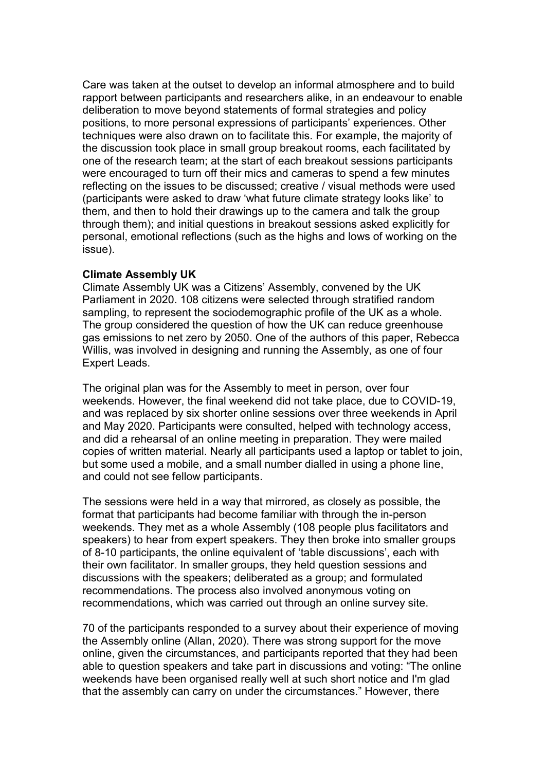Care was taken at the outset to develop an informal atmosphere and to build rapport between participants and researchers alike, in an endeavour to enable deliberation to move beyond statements of formal strategies and policy positions, to more personal expressions of participants' experiences. Other techniques were also drawn on to facilitate this. For example, the majority of the discussion took place in small group breakout rooms, each facilitated by one of the research team; at the start of each breakout sessions participants were encouraged to turn off their mics and cameras to spend a few minutes reflecting on the issues to be discussed; creative / visual methods were used (participants were asked to draw 'what future climate strategy looks like' to them, and then to hold their drawings up to the camera and talk the group through them); and initial questions in breakout sessions asked explicitly for personal, emotional reflections (such as the highs and lows of working on the issue).

### **Climate Assembly UK**

Climate Assembly UK was a Citizens' Assembly, convened by the UK Parliament in 2020. 108 citizens were selected through stratified random sampling, to represent the sociodemographic profile of the UK as a whole. The group considered the question of how the UK can reduce greenhouse gas emissions to net zero by 2050. One of the authors of this paper, Rebecca Willis, was involved in designing and running the Assembly, as one of four Expert Leads.

The original plan was for the Assembly to meet in person, over four weekends. However, the final weekend did not take place, due to COVID-19, and was replaced by six shorter online sessions over three weekends in April and May 2020. Participants were consulted, helped with technology access, and did a rehearsal of an online meeting in preparation. They were mailed copies of written material. Nearly all participants used a laptop or tablet to join, but some used a mobile, and a small number dialled in using a phone line, and could not see fellow participants.

The sessions were held in a way that mirrored, as closely as possible, the format that participants had become familiar with through the in-person weekends. They met as a whole Assembly (108 people plus facilitators and speakers) to hear from expert speakers. They then broke into smaller groups of 8-10 participants, the online equivalent of 'table discussions', each with their own facilitator. In smaller groups, they held question sessions and discussions with the speakers; deliberated as a group; and formulated recommendations. The process also involved anonymous voting on recommendations, which was carried out through an online survey site.

70 of the participants responded to a survey about their experience of moving the Assembly online (Allan, 2020). There was strong support for the move online, given the circumstances, and participants reported that they had been able to question speakers and take part in discussions and voting: "The online weekends have been organised really well at such short notice and I'm glad that the assembly can carry on under the circumstances." However, there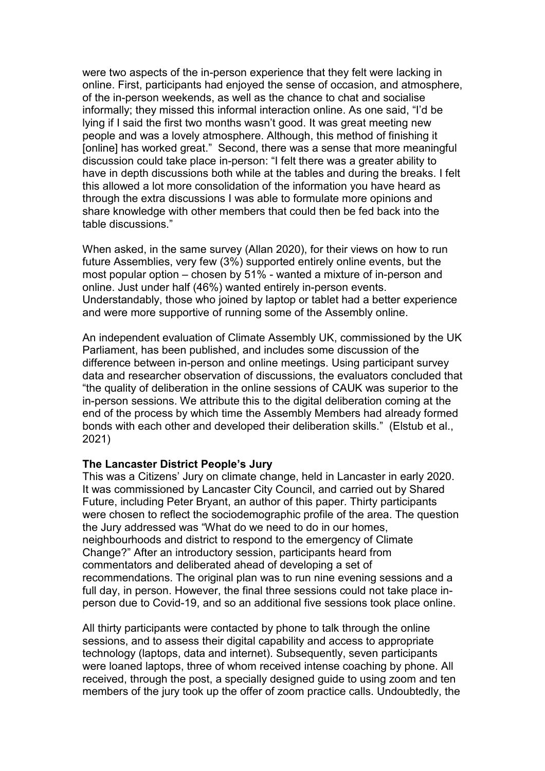were two aspects of the in-person experience that they felt were lacking in online. First, participants had enjoyed the sense of occasion, and atmosphere, of the in-person weekends, as well as the chance to chat and socialise informally; they missed this informal interaction online. As one said, "I'd be lying if I said the first two months wasn't good. It was great meeting new people and was a lovely atmosphere. Although, this method of finishing it [online] has worked great." Second, there was a sense that more meaningful discussion could take place in-person: "I felt there was a greater ability to have in depth discussions both while at the tables and during the breaks. I felt this allowed a lot more consolidation of the information you have heard as through the extra discussions I was able to formulate more opinions and share knowledge with other members that could then be fed back into the table discussions."

When asked, in the same survey (Allan 2020), for their views on how to run future Assemblies, very few (3%) supported entirely online events, but the most popular option – chosen by 51% - wanted a mixture of in-person and online. Just under half (46%) wanted entirely in-person events. Understandably, those who joined by laptop or tablet had a better experience and were more supportive of running some of the Assembly online.

An independent evaluation of Climate Assembly UK, commissioned by the UK Parliament, has been published, and includes some discussion of the difference between in-person and online meetings. Using participant survey data and researcher observation of discussions, the evaluators concluded that "the quality of deliberation in the online sessions of CAUK was superior to the in-person sessions. We attribute this to the digital deliberation coming at the end of the process by which time the Assembly Members had already formed bonds with each other and developed their deliberation skills." (Elstub et al., 2021)

### **The Lancaster District People's Jury**

This was a Citizens' Jury on climate change, held in Lancaster in early 2020. It was commissioned by Lancaster City Council, and carried out by Shared Future, including Peter Bryant, an author of this paper. Thirty participants were chosen to reflect the sociodemographic profile of the area. The question the Jury addressed was "What do we need to do in our homes, neighbourhoods and district to respond to the emergency of Climate Change?" After an introductory session, participants heard from commentators and deliberated ahead of developing a set of recommendations. The original plan was to run nine evening sessions and a full day, in person. However, the final three sessions could not take place inperson due to Covid-19, and so an additional five sessions took place online.

All thirty participants were contacted by phone to talk through the online sessions, and to assess their digital capability and access to appropriate technology (laptops, data and internet). Subsequently, seven participants were loaned laptops, three of whom received intense coaching by phone. All received, through the post, a specially designed guide to using zoom and ten members of the jury took up the offer of zoom practice calls. Undoubtedly, the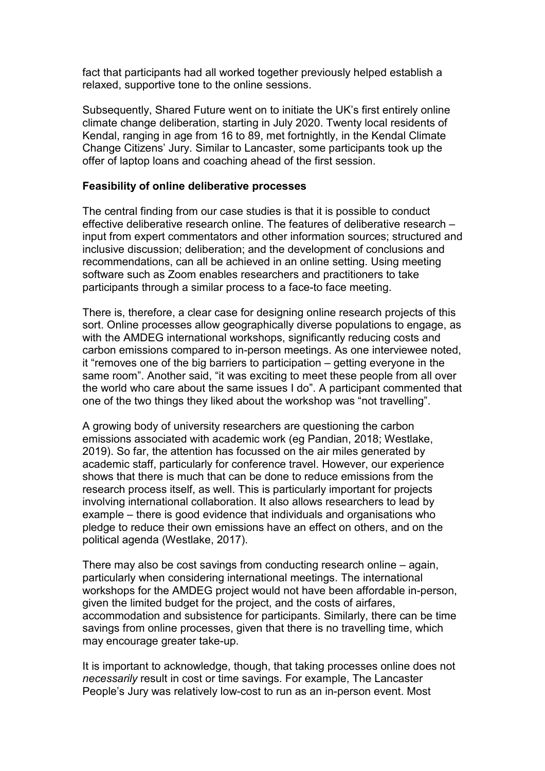fact that participants had all worked together previously helped establish a relaxed, supportive tone to the online sessions.

Subsequently, Shared Future went on to initiate the UK's first entirely online climate change deliberation, starting in July 2020. Twenty local residents of Kendal, ranging in age from 16 to 89, met fortnightly, in the Kendal Climate Change Citizens' Jury. Similar to Lancaster, some participants took up the offer of laptop loans and coaching ahead of the first session.

### **Feasibility of online deliberative processes**

The central finding from our case studies is that it is possible to conduct effective deliberative research online. The features of deliberative research – input from expert commentators and other information sources; structured and inclusive discussion; deliberation; and the development of conclusions and recommendations, can all be achieved in an online setting. Using meeting software such as Zoom enables researchers and practitioners to take participants through a similar process to a face-to face meeting.

There is, therefore, a clear case for designing online research projects of this sort. Online processes allow geographically diverse populations to engage, as with the AMDEG international workshops, significantly reducing costs and carbon emissions compared to in-person meetings. As one interviewee noted, it "removes one of the big barriers to participation – getting everyone in the same room". Another said, "it was exciting to meet these people from all over the world who care about the same issues I do". A participant commented that one of the two things they liked about the workshop was "not travelling".

A growing body of university researchers are questioning the carbon emissions associated with academic work (eg Pandian, 2018; Westlake, 2019). So far, the attention has focussed on the air miles generated by academic staff, particularly for conference travel. However, our experience shows that there is much that can be done to reduce emissions from the research process itself, as well. This is particularly important for projects involving international collaboration. It also allows researchers to lead by example – there is good evidence that individuals and organisations who pledge to reduce their own emissions have an effect on others, and on the political agenda (Westlake, 2017).

There may also be cost savings from conducting research online – again, particularly when considering international meetings. The international workshops for the AMDEG project would not have been affordable in-person, given the limited budget for the project, and the costs of airfares, accommodation and subsistence for participants. Similarly, there can be time savings from online processes, given that there is no travelling time, which may encourage greater take-up.

It is important to acknowledge, though, that taking processes online does not *necessarily* result in cost or time savings. For example, The Lancaster People's Jury was relatively low-cost to run as an in-person event. Most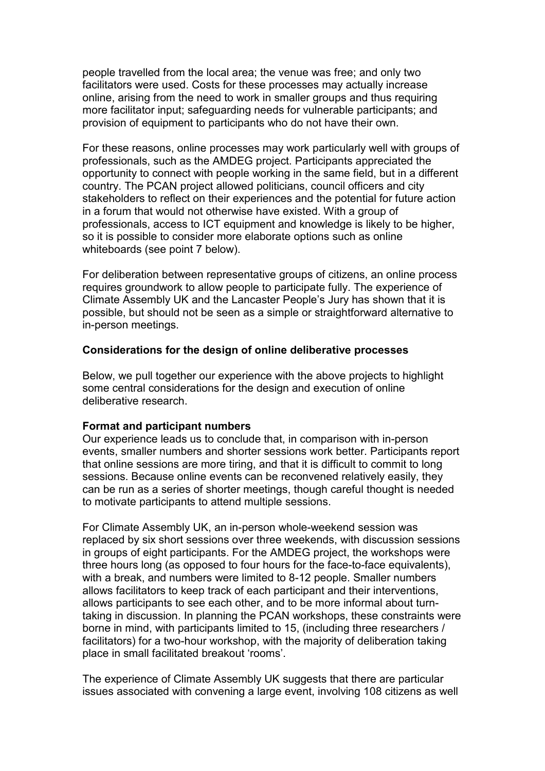people travelled from the local area; the venue was free; and only two facilitators were used. Costs for these processes may actually increase online, arising from the need to work in smaller groups and thus requiring more facilitator input; safeguarding needs for vulnerable participants; and provision of equipment to participants who do not have their own.

For these reasons, online processes may work particularly well with groups of professionals, such as the AMDEG project. Participants appreciated the opportunity to connect with people working in the same field, but in a different country. The PCAN project allowed politicians, council officers and city stakeholders to reflect on their experiences and the potential for future action in a forum that would not otherwise have existed. With a group of professionals, access to ICT equipment and knowledge is likely to be higher, so it is possible to consider more elaborate options such as online whiteboards (see point 7 below).

For deliberation between representative groups of citizens, an online process requires groundwork to allow people to participate fully. The experience of Climate Assembly UK and the Lancaster People's Jury has shown that it is possible, but should not be seen as a simple or straightforward alternative to in-person meetings.

### **Considerations for the design of online deliberative processes**

Below, we pull together our experience with the above projects to highlight some central considerations for the design and execution of online deliberative research.

### **Format and participant numbers**

Our experience leads us to conclude that, in comparison with in-person events, smaller numbers and shorter sessions work better. Participants report that online sessions are more tiring, and that it is difficult to commit to long sessions. Because online events can be reconvened relatively easily, they can be run as a series of shorter meetings, though careful thought is needed to motivate participants to attend multiple sessions.

For Climate Assembly UK, an in-person whole-weekend session was replaced by six short sessions over three weekends, with discussion sessions in groups of eight participants. For the AMDEG project, the workshops were three hours long (as opposed to four hours for the face-to-face equivalents), with a break, and numbers were limited to 8-12 people. Smaller numbers allows facilitators to keep track of each participant and their interventions, allows participants to see each other, and to be more informal about turntaking in discussion. In planning the PCAN workshops, these constraints were borne in mind, with participants limited to 15, (including three researchers / facilitators) for a two-hour workshop, with the majority of deliberation taking place in small facilitated breakout 'rooms'.

The experience of Climate Assembly UK suggests that there are particular issues associated with convening a large event, involving 108 citizens as well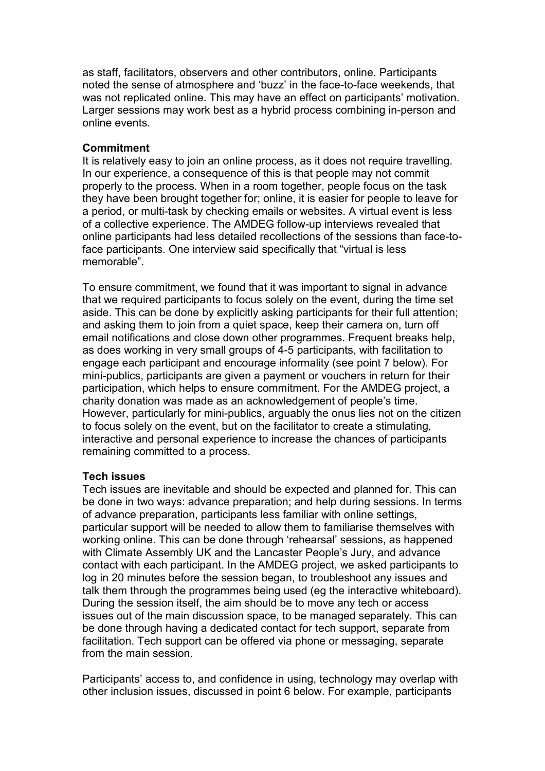as staff, facilitators, observers and other contributors, online. Participants noted the sense of atmosphere and 'buzz' in the face-to-face weekends, that was not replicated online. This may have an effect on participants' motivation. Larger sessions may work best as a hybrid process combining in-person and online events.

### **Commitment**

It is relatively easy to join an online process, as it does not require travelling. In our experience, a consequence of this is that people may not commit properly to the process. When in a room together, people focus on the task they have been brought together for; online, it is easier for people to leave for a period, or multi-task by checking emails or websites. A virtual event is less of a collective experience. The AMDEG follow-up interviews revealed that online participants had less detailed recollections of the sessions than face-toface participants. One interview said specifically that "virtual is less memorable".

To ensure commitment, we found that it was important to signal in advance that we required participants to focus solely on the event, during the time set aside. This can be done by explicitly asking participants for their full attention; and asking them to join from a quiet space, keep their camera on, turn off email notifications and close down other programmes. Frequent breaks help, as does working in very small groups of 4-5 participants, with facilitation to engage each participant and encourage informality (see point 7 below). For mini-publics, participants are given a payment or vouchers in return for their participation, which helps to ensure commitment. For the AMDEG project, a charity donation was made as an acknowledgement of people's time. However, particularly for mini-publics, arguably the onus lies not on the citizen to focus solely on the event, but on the facilitator to create a stimulating, interactive and personal experience to increase the chances of participants remaining committed to a process.

# **Tech issues**

Tech issues are inevitable and should be expected and planned for. This can be done in two ways: advance preparation; and help during sessions. In terms of advance preparation, participants less familiar with online settings, particular support will be needed to allow them to familiarise themselves with working online. This can be done through 'rehearsal' sessions, as happened with Climate Assembly UK and the Lancaster People's Jury, and advance contact with each participant. In the AMDEG project, we asked participants to log in 20 minutes before the session began, to troubleshoot any issues and talk them through the programmes being used (eg the interactive whiteboard). During the session itself, the aim should be to move any tech or access issues out of the main discussion space, to be managed separately. This can be done through having a dedicated contact for tech support, separate from facilitation. Tech support can be offered via phone or messaging, separate from the main session.

Participants' access to, and confidence in using, technology may overlap with other inclusion issues, discussed in point 6 below. For example, participants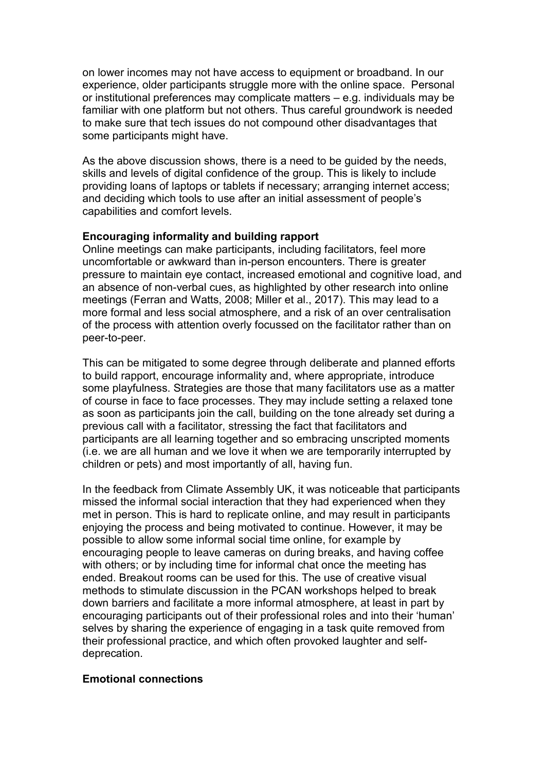on lower incomes may not have access to equipment or broadband. In our experience, older participants struggle more with the online space. Personal or institutional preferences may complicate matters – e.g. individuals may be familiar with one platform but not others. Thus careful groundwork is needed to make sure that tech issues do not compound other disadvantages that some participants might have.

As the above discussion shows, there is a need to be guided by the needs, skills and levels of digital confidence of the group. This is likely to include providing loans of laptops or tablets if necessary; arranging internet access; and deciding which tools to use after an initial assessment of people's capabilities and comfort levels.

### **Encouraging informality and building rapport**

Online meetings can make participants, including facilitators, feel more uncomfortable or awkward than in-person encounters. There is greater pressure to maintain eye contact, increased emotional and cognitive load, and an absence of non-verbal cues, as highlighted by other research into online meetings (Ferran and Watts, 2008; Miller et al., 2017). This may lead to a more formal and less social atmosphere, and a risk of an over centralisation of the process with attention overly focussed on the facilitator rather than on peer-to-peer.

This can be mitigated to some degree through deliberate and planned efforts to build rapport, encourage informality and, where appropriate, introduce some playfulness. Strategies are those that many facilitators use as a matter of course in face to face processes. They may include setting a relaxed tone as soon as participants join the call, building on the tone already set during a previous call with a facilitator, stressing the fact that facilitators and participants are all learning together and so embracing unscripted moments (i.e. we are all human and we love it when we are temporarily interrupted by children or pets) and most importantly of all, having fun.

In the feedback from Climate Assembly UK, it was noticeable that participants missed the informal social interaction that they had experienced when they met in person. This is hard to replicate online, and may result in participants enjoying the process and being motivated to continue. However, it may be possible to allow some informal social time online, for example by encouraging people to leave cameras on during breaks, and having coffee with others; or by including time for informal chat once the meeting has ended. Breakout rooms can be used for this. The use of creative visual methods to stimulate discussion in the PCAN workshops helped to break down barriers and facilitate a more informal atmosphere, at least in part by encouraging participants out of their professional roles and into their 'human' selves by sharing the experience of engaging in a task quite removed from their professional practice, and which often provoked laughter and selfdeprecation.

# **Emotional connections**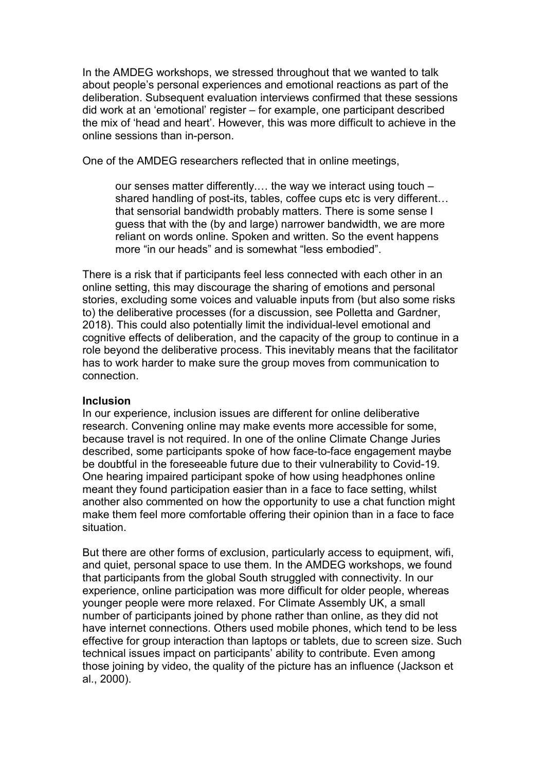In the AMDEG workshops, we stressed throughout that we wanted to talk about people's personal experiences and emotional reactions as part of the deliberation. Subsequent evaluation interviews confirmed that these sessions did work at an 'emotional' register – for example, one participant described the mix of 'head and heart'. However, this was more difficult to achieve in the online sessions than in-person.

One of the AMDEG researchers reflected that in online meetings,

our senses matter differently.… the way we interact using touch – shared handling of post-its, tables, coffee cups etc is very different… that sensorial bandwidth probably matters. There is some sense I guess that with the (by and large) narrower bandwidth, we are more reliant on words online. Spoken and written. So the event happens more "in our heads" and is somewhat "less embodied".

There is a risk that if participants feel less connected with each other in an online setting, this may discourage the sharing of emotions and personal stories, excluding some voices and valuable inputs from (but also some risks to) the deliberative processes (for a discussion, see Polletta and Gardner, 2018). This could also potentially limit the individual-level emotional and cognitive effects of deliberation, and the capacity of the group to continue in a role beyond the deliberative process. This inevitably means that the facilitator has to work harder to make sure the group moves from communication to connection.

# **Inclusion**

In our experience, inclusion issues are different for online deliberative research. Convening online may make events more accessible for some, because travel is not required. In one of the online Climate Change Juries described, some participants spoke of how face-to-face engagement maybe be doubtful in the foreseeable future due to their vulnerability to Covid-19. One hearing impaired participant spoke of how using headphones online meant they found participation easier than in a face to face setting, whilst another also commented on how the opportunity to use a chat function might make them feel more comfortable offering their opinion than in a face to face situation.

But there are other forms of exclusion, particularly access to equipment, wifi, and quiet, personal space to use them. In the AMDEG workshops, we found that participants from the global South struggled with connectivity. In our experience, online participation was more difficult for older people, whereas younger people were more relaxed. For Climate Assembly UK, a small number of participants joined by phone rather than online, as they did not have internet connections. Others used mobile phones, which tend to be less effective for group interaction than laptops or tablets, due to screen size. Such technical issues impact on participants' ability to contribute. Even among those joining by video, the quality of the picture has an influence (Jackson et al., 2000).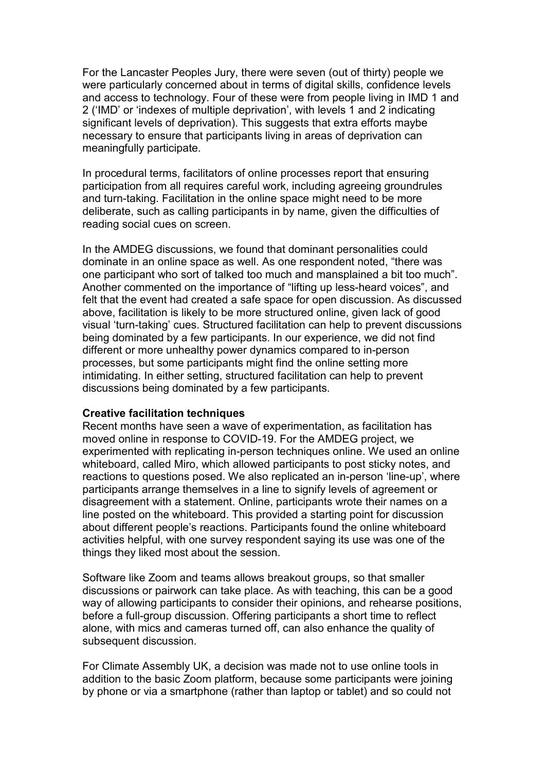For the Lancaster Peoples Jury, there were seven (out of thirty) people we were particularly concerned about in terms of digital skills, confidence levels and access to technology. Four of these were from people living in IMD 1 and 2 ('IMD' or 'indexes of multiple deprivation', with levels 1 and 2 indicating significant levels of deprivation). This suggests that extra efforts maybe necessary to ensure that participants living in areas of deprivation can meaningfully participate.

In procedural terms, facilitators of online processes report that ensuring participation from all requires careful work, including agreeing groundrules and turn-taking. Facilitation in the online space might need to be more deliberate, such as calling participants in by name, given the difficulties of reading social cues on screen.

In the AMDEG discussions, we found that dominant personalities could dominate in an online space as well. As one respondent noted, "there was one participant who sort of talked too much and mansplained a bit too much". Another commented on the importance of "lifting up less-heard voices", and felt that the event had created a safe space for open discussion. As discussed above, facilitation is likely to be more structured online, given lack of good visual 'turn-taking' cues. Structured facilitation can help to prevent discussions being dominated by a few participants. In our experience, we did not find different or more unhealthy power dynamics compared to in-person processes, but some participants might find the online setting more intimidating. In either setting, structured facilitation can help to prevent discussions being dominated by a few participants.

### **Creative facilitation techniques**

Recent months have seen a wave of experimentation, as facilitation has moved online in response to COVID-19. For the AMDEG project, we experimented with replicating in-person techniques online. We used an online whiteboard, called Miro, which allowed participants to post sticky notes, and reactions to questions posed. We also replicated an in-person 'line-up', where participants arrange themselves in a line to signify levels of agreement or disagreement with a statement. Online, participants wrote their names on a line posted on the whiteboard. This provided a starting point for discussion about different people's reactions. Participants found the online whiteboard activities helpful, with one survey respondent saying its use was one of the things they liked most about the session.

Software like Zoom and teams allows breakout groups, so that smaller discussions or pairwork can take place. As with teaching, this can be a good way of allowing participants to consider their opinions, and rehearse positions, before a full-group discussion. Offering participants a short time to reflect alone, with mics and cameras turned off, can also enhance the quality of subsequent discussion.

For Climate Assembly UK, a decision was made not to use online tools in addition to the basic Zoom platform, because some participants were joining by phone or via a smartphone (rather than laptop or tablet) and so could not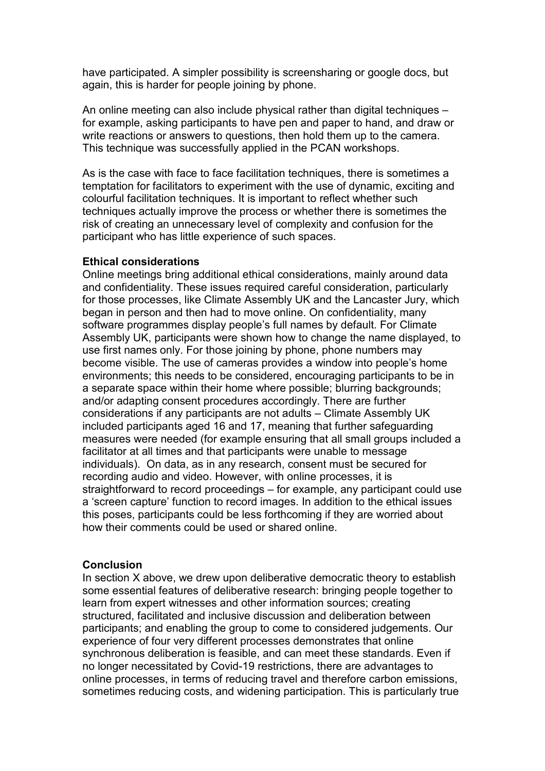have participated. A simpler possibility is screensharing or google docs, but again, this is harder for people joining by phone.

An online meeting can also include physical rather than digital techniques – for example, asking participants to have pen and paper to hand, and draw or write reactions or answers to questions, then hold them up to the camera. This technique was successfully applied in the PCAN workshops.

As is the case with face to face facilitation techniques, there is sometimes a temptation for facilitators to experiment with the use of dynamic, exciting and colourful facilitation techniques. It is important to reflect whether such techniques actually improve the process or whether there is sometimes the risk of creating an unnecessary level of complexity and confusion for the participant who has little experience of such spaces.

#### **Ethical considerations**

Online meetings bring additional ethical considerations, mainly around data and confidentiality. These issues required careful consideration, particularly for those processes, like Climate Assembly UK and the Lancaster Jury, which began in person and then had to move online. On confidentiality, many software programmes display people's full names by default. For Climate Assembly UK, participants were shown how to change the name displayed, to use first names only. For those joining by phone, phone numbers may become visible. The use of cameras provides a window into people's home environments; this needs to be considered, encouraging participants to be in a separate space within their home where possible; blurring backgrounds; and/or adapting consent procedures accordingly. There are further considerations if any participants are not adults – Climate Assembly UK included participants aged 16 and 17, meaning that further safeguarding measures were needed (for example ensuring that all small groups included a facilitator at all times and that participants were unable to message individuals). On data, as in any research, consent must be secured for recording audio and video. However, with online processes, it is straightforward to record proceedings – for example, any participant could use a 'screen capture' function to record images. In addition to the ethical issues this poses, participants could be less forthcoming if they are worried about how their comments could be used or shared online.

### **Conclusion**

In section X above, we drew upon deliberative democratic theory to establish some essential features of deliberative research: bringing people together to learn from expert witnesses and other information sources; creating structured, facilitated and inclusive discussion and deliberation between participants; and enabling the group to come to considered judgements. Our experience of four very different processes demonstrates that online synchronous deliberation is feasible, and can meet these standards. Even if no longer necessitated by Covid-19 restrictions, there are advantages to online processes, in terms of reducing travel and therefore carbon emissions, sometimes reducing costs, and widening participation. This is particularly true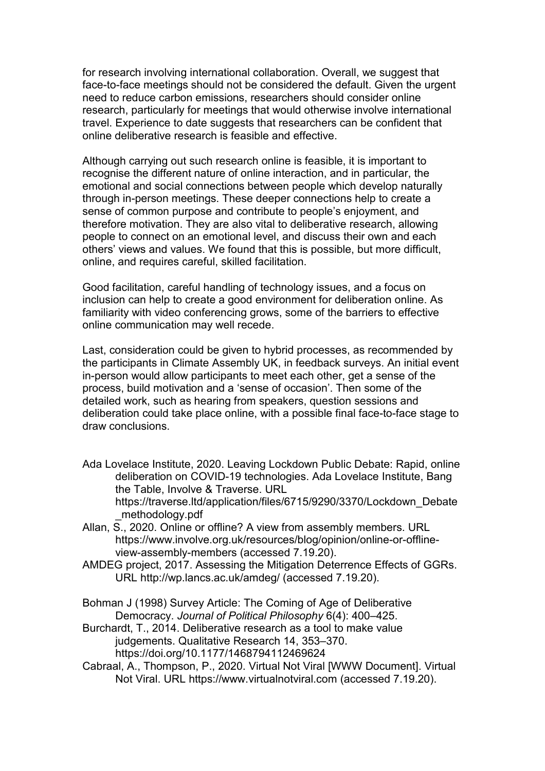for research involving international collaboration. Overall, we suggest that face-to-face meetings should not be considered the default. Given the urgent need to reduce carbon emissions, researchers should consider online research, particularly for meetings that would otherwise involve international travel. Experience to date suggests that researchers can be confident that online deliberative research is feasible and effective.

Although carrying out such research online is feasible, it is important to recognise the different nature of online interaction, and in particular, the emotional and social connections between people which develop naturally through in-person meetings. These deeper connections help to create a sense of common purpose and contribute to people's enjoyment, and therefore motivation. They are also vital to deliberative research, allowing people to connect on an emotional level, and discuss their own and each others' views and values. We found that this is possible, but more difficult, online, and requires careful, skilled facilitation.

Good facilitation, careful handling of technology issues, and a focus on inclusion can help to create a good environment for deliberation online. As familiarity with video conferencing grows, some of the barriers to effective online communication may well recede.

Last, consideration could be given to hybrid processes, as recommended by the participants in Climate Assembly UK, in feedback surveys. An initial event in-person would allow participants to meet each other, get a sense of the process, build motivation and a 'sense of occasion'. Then some of the detailed work, such as hearing from speakers, question sessions and deliberation could take place online, with a possible final face-to-face stage to draw conclusions.

- Ada Lovelace Institute, 2020. Leaving Lockdown Public Debate: Rapid, online deliberation on COVID-19 technologies. Ada Lovelace Institute, Bang the Table, Involve & Traverse. URL https://traverse.ltd/application/files/6715/9290/3370/Lockdown\_Debate
- \_methodology.pdf Allan, S., 2020. Online or offline? A view from assembly members. URL https://www.involve.org.uk/resources/blog/opinion/online-or-offlineview-assembly-members (accessed 7.19.20).
- AMDEG project, 2017. Assessing the Mitigation Deterrence Effects of GGRs. URL http://wp.lancs.ac.uk/amdeg/ (accessed 7.19.20).
- Bohman J (1998) Survey Article: The Coming of Age of Deliberative Democracy. *Journal of Political Philosophy* 6(4): 400–425.
- Burchardt, T., 2014. Deliberative research as a tool to make value judgements. Qualitative Research 14, 353–370. https://doi.org/10.1177/1468794112469624
- Cabraal, A., Thompson, P., 2020. Virtual Not Viral [WWW Document]. Virtual Not Viral. URL https://www.virtualnotviral.com (accessed 7.19.20).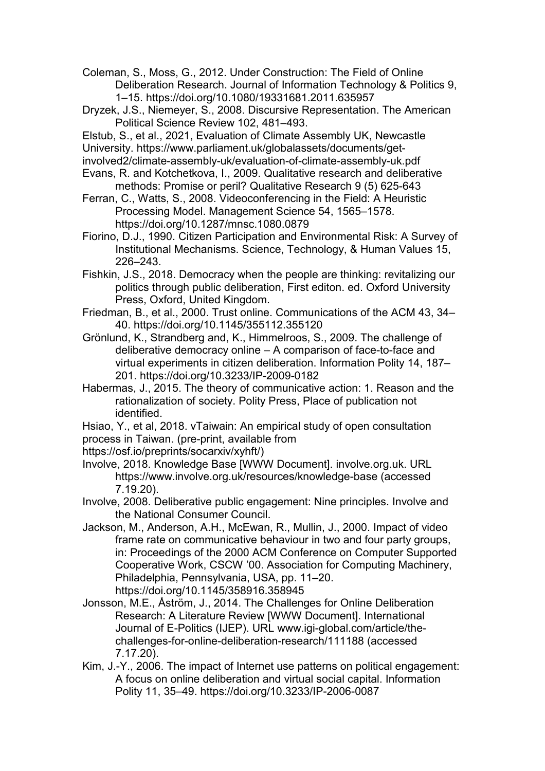Coleman, S., Moss, G., 2012. Under Construction: The Field of Online Deliberation Research. Journal of Information Technology & Politics 9, 1–15. https://doi.org/10.1080/19331681.2011.635957

- Dryzek, J.S., Niemeyer, S., 2008. Discursive Representation. The American Political Science Review 102, 481–493.
- Elstub, S., et al., 2021, Evaluation of Climate Assembly UK, Newcastle
- University. https://www.parliament.uk/globalassets/documents/get-
- involved2/climate-assembly-uk/evaluation-of-climate-assembly-uk.pdf
- Evans, R. and Kotchetkova, I., 2009. Qualitative research and deliberative methods: Promise or peril? Qualitative Research 9 (5) 625-643
- Ferran, C., Watts, S., 2008. Videoconferencing in the Field: A Heuristic Processing Model. Management Science 54, 1565–1578. https://doi.org/10.1287/mnsc.1080.0879
- Fiorino, D.J., 1990. Citizen Participation and Environmental Risk: A Survey of Institutional Mechanisms. Science, Technology, & Human Values 15, 226–243.
- Fishkin, J.S., 2018. Democracy when the people are thinking: revitalizing our politics through public deliberation, First editon. ed. Oxford University Press, Oxford, United Kingdom.
- Friedman, B., et al., 2000. Trust online. Communications of the ACM 43, 34– 40. https://doi.org/10.1145/355112.355120
- Grönlund, K., Strandberg and, K., Himmelroos, S., 2009. The challenge of deliberative democracy online – A comparison of face-to-face and virtual experiments in citizen deliberation. Information Polity 14, 187– 201. https://doi.org/10.3233/IP-2009-0182
- Habermas, J., 2015. The theory of communicative action: 1. Reason and the rationalization of society. Polity Press, Place of publication not identified.
- Hsiao, Y., et al, 2018. vTaiwain: An empirical study of open consultation process in Taiwan. (pre-print, available from
- https://osf.io/preprints/socarxiv/xyhft/)
- Involve, 2018. Knowledge Base [WWW Document]. involve.org.uk. URL https://www.involve.org.uk/resources/knowledge-base (accessed 7.19.20).
- Involve, 2008. Deliberative public engagement: Nine principles. Involve and the National Consumer Council.
- Jackson, M., Anderson, A.H., McEwan, R., Mullin, J., 2000. Impact of video frame rate on communicative behaviour in two and four party groups, in: Proceedings of the 2000 ACM Conference on Computer Supported Cooperative Work, CSCW '00. Association for Computing Machinery, Philadelphia, Pennsylvania, USA, pp. 11–20. https://doi.org/10.1145/358916.358945
- Jonsson, M.E., Åström, J., 2014. The Challenges for Online Deliberation Research: A Literature Review [WWW Document]. International Journal of E-Politics (IJEP). URL www.igi-global.com/article/thechallenges-for-online-deliberation-research/111188 (accessed 7.17.20).
- Kim, J.-Y., 2006. The impact of Internet use patterns on political engagement: A focus on online deliberation and virtual social capital. Information Polity 11, 35–49. https://doi.org/10.3233/IP-2006-0087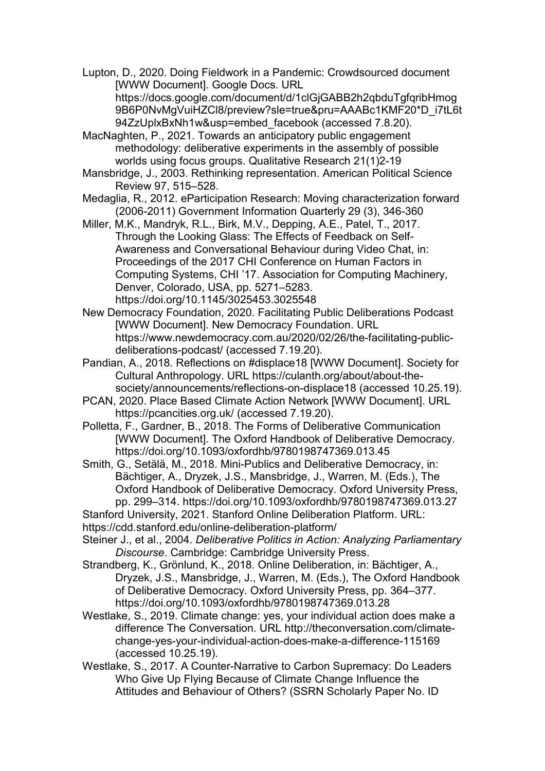Lupton, D., 2020. Doing Fieldwork in a Pandemic: Crowdsourced document [WWW Document]. Google Docs. URL https://docs.google.com/document/d/1clGjGABB2h2qbduTgfqribHmog 9B6P0NvMgVuiHZCl8/preview?sle=true&pru=AAABc1KMF20\*D\_i7tL6t 94ZzUplxBxNh1w&usp=embed\_facebook (accessed 7.8.20).

MacNaghten, P., 2021. Towards an anticipatory public engagement methodology: deliberative experiments in the assembly of possible worlds using focus groups. Qualitative Research 21(1)2-19

- Mansbridge, J., 2003. Rethinking representation. American Political Science Review 97, 515–528.
- Medaglia, R., 2012. eParticipation Research: Moving characterization forward (2006-2011) Government Information Quarterly 29 (3), 346-360

Miller, M.K., Mandryk, R.L., Birk, M.V., Depping, A.E., Patel, T., 2017. Through the Looking Glass: The Effects of Feedback on Self-Awareness and Conversational Behaviour during Video Chat, in: Proceedings of the 2017 CHI Conference on Human Factors in Computing Systems, CHI '17. Association for Computing Machinery, Denver, Colorado, USA, pp. 5271–5283. https://doi.org/10.1145/3025453.3025548

New Democracy Foundation, 2020. Facilitating Public Deliberations Podcast [WWW Document]. New Democracy Foundation. URL https://www.newdemocracy.com.au/2020/02/26/the-facilitating-publicdeliberations-podcast/ (accessed 7.19.20).

- Pandian, A., 2018. Reflections on #displace18 [WWW Document]. Society for Cultural Anthropology. URL https://culanth.org/about/about-thesociety/announcements/reflections-on-displace18 (accessed 10.25.19).
- PCAN, 2020. Place Based Climate Action Network [WWW Document]. URL https://pcancities.org.uk/ (accessed 7.19.20).

Polletta, F., Gardner, B., 2018. The Forms of Deliberative Communication [WWW Document]. The Oxford Handbook of Deliberative Democracy. https://doi.org/10.1093/oxfordhb/9780198747369.013.45

Smith, G., Setälä, M., 2018. Mini-Publics and Deliberative Democracy, in: Bächtiger, A., Dryzek, J.S., Mansbridge, J., Warren, M. (Eds.), The Oxford Handbook of Deliberative Democracy. Oxford University Press, pp. 299–314. https://doi.org/10.1093/oxfordhb/9780198747369.013.27

- Stanford University, 2021. Stanford Online Deliberation Platform. URL:
- https://cdd.stanford.edu/online-deliberation-platform/

Steiner J., et al., 2004. *Deliberative Politics in Action: Analyzing Parliamentary Discourse*. Cambridge: Cambridge University Press.

Strandberg, K., Grönlund, K., 2018. Online Deliberation, in: Bächtiger, A., Dryzek, J.S., Mansbridge, J., Warren, M. (Eds.), The Oxford Handbook of Deliberative Democracy. Oxford University Press, pp. 364–377. https://doi.org/10.1093/oxfordhb/9780198747369.013.28

Westlake, S., 2019. Climate change: yes, your individual action does make a difference The Conversation. URL http://theconversation.com/climatechange-yes-your-individual-action-does-make-a-difference-115169 (accessed 10.25.19).

Westlake, S., 2017. A Counter-Narrative to Carbon Supremacy: Do Leaders Who Give Up Flying Because of Climate Change Influence the Attitudes and Behaviour of Others? (SSRN Scholarly Paper No. ID